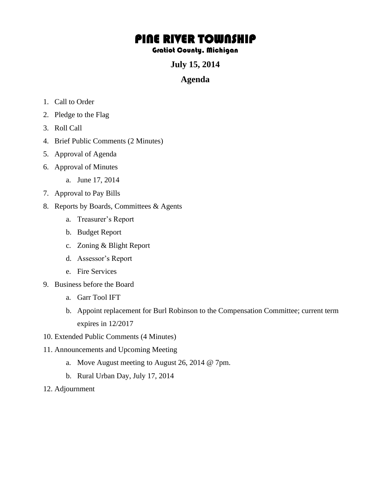## PINE RIVER TOWNSHIP

## Gratiot County, Michigan

**July 15, 2014** 

## **Agenda**

- 1. Call to Order
- 2. Pledge to the Flag
- 3. Roll Call
- 4. Brief Public Comments (2 Minutes)
- 5. Approval of Agenda
- 6. Approval of Minutes
	- a. June 17, 2014
- 7. Approval to Pay Bills
- 8. Reports by Boards, Committees & Agents
	- a. Treasurer's Report
	- b. Budget Report
	- c. Zoning & Blight Report
	- d. Assessor's Report
	- e. Fire Services
- 9. Business before the Board
	- a. Garr Tool IFT
	- b. Appoint replacement for Burl Robinson to the Compensation Committee; current term expires in 12/2017
- 10. Extended Public Comments (4 Minutes)
- 11. Announcements and Upcoming Meeting
	- a. Move August meeting to August 26, 2014 @ 7pm.
	- b. Rural Urban Day, July 17, 2014
- 12. Adjournment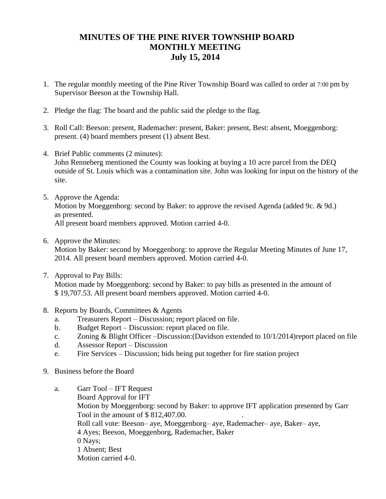## **MINUTES OF THE PINE RIVER TOWNSHIP BOARD MONTHLY MEETING July 15, 2014**

- 1. The regular monthly meeting of the Pine River Township Board was called to order at 7:00 pm by Supervisor Beeson at the Township Hall.
- 2. Pledge the flag: The board and the public said the pledge to the flag.
- 3. Roll Call: Beeson: present, Rademacher: present, Baker: present, Best: absent, Moeggenborg: present. (4) board members present (1) absent Best.
- 4. Brief Public comments (2 minutes): John Renneberg mentioned the County was looking at buying a 10 acre parcel from the DEQ outside of St. Louis which was a contamination site. John was looking for input on the history of the site.
- 5. Approve the Agenda: Motion by Moeggenborg: second by Baker: to approve the revised Agenda (added 9c. & 9d.) as presented. All present board members approved. Motion carried 4-0.
- 6. Approve the Minutes:

Motion by Baker: second by Moeggenborg: to approve the Regular Meeting Minutes of June 17, 2014. All present board members approved. Motion carried 4-0.

- 7. Approval to Pay Bills: Motion made by Moeggenborg: second by Baker: to pay bills as presented in the amount of \$ 19,707.53. All present board members approved. Motion carried 4-0.
- 8. Reports by Boards, Committees & Agents
	- a. Treasurers Report Discussion; report placed on file.
	- b. Budget Report Discussion: report placed on file.
	- c. Zoning & Blight Officer –Discussion:(Davidson extended to 10/1/2014)report placed on file
	- d. Assessor Report Discussion
	- e. Fire Services Discussion; bids being put together for fire station project
- 9. Business before the Board
	- a. Garr Tool IFT Request Board Approval for IFT Motion by Moeggenborg: second by Baker: to approve IFT application presented by Garr Tool in the amount of \$812,407.00. Roll call vote: Beeson– aye, Moeggenborg– aye, Rademacher– aye, Baker– aye, 4 Ayes; Beeson, Moeggenborg, Rademacher, Baker 0 Nays; 1 Absent; Best Motion carried 4-0.